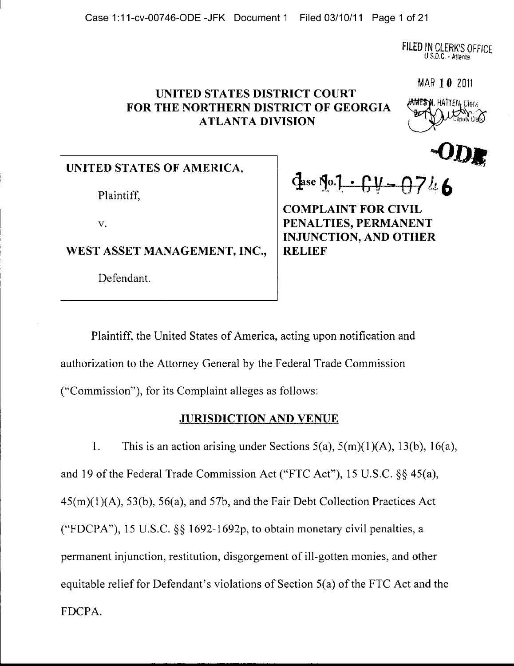FILED IN CLERK'S OFFICE U.S.D.C. - Atlanta

#### **UNITED STATES DISTRICT COURT FOR THE NORTHERN DISTRICT OF GEORGIA ATLANTA DIVISION**

**IAMES N. HATTEN, CIGOS** 

 $\bullet$  D.R.

MAR 10 <sup>2011</sup>

**UNITED STATES OF AMERICA,** 

Plaintiff,

WEST ASSET MANAGEMENT, INC., | RELIEF

Defendant.

 $\frac{d}{dx}$   $\frac{1 \cdot 6y - 0746}{x}$ 

**COMPLAINT FOR CIVIL**  v. **PENALTIES, PERMANENT INJUNCTION, AND OTHER** 

Plaintiff, the United States of America, acting upon notification and authorization to the Attorney General by the Federal Trade Commission

("Commission"), for its Complaint alleges as follows:

#### **JURISDICTION AND VENUE**

1. This is an action arising under Sections  $5(a)$ ,  $5(m)(1)(A)$ ,  $13(b)$ ,  $16(a)$ , and 19 of the Federal Trade Commission Act ("FTC Act"), 15 U.S.C. §§ 45(a), 45(m)(1)(A), 53(b), 56(a), and 57b, and the Fair Debt Collection Practices Act ("FDCPA"), 15 U.S.C. §§ 1692-1692p, to obtain monetary civil penalties, a permanent injunction, restitution, disgorgement of ill-gotten monies, and other equitable relief for Defendant's violations of Section 5(a) of the FTC Act and the FDCPA.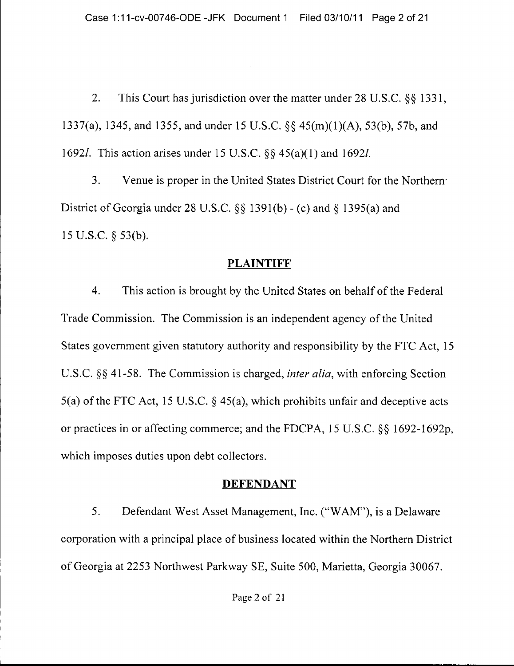2. This Court has jurisdiction over the matter under 28 U,S.C. §§ 1331, 1337(a), 1345, and 1355, and under 15 U.S.C. §§ 45(m)(1)(A), 53(b), 57b, and 16921. This action arises under 15 U.S.C. §§ 45(a)(1) and 16921.

3. Venue is proper in the United States District Court for the Northern' District of Georgia under 28 U.S.C. §§ 1391(b) - (c) and § 1395(a) and 15 U.S.C. § 53(b),

#### **PLAINTIFF**

4. This action is brought by the United States on behalf of the Federal Trade Commission. The Commission is an independent agency of the United States government given statutory authority and responsibility by the FTC Act, 15 U.S.C, §§ 41-58. The Commission is charged, *inter alia,* with enforcing Section 5(a) of the FTC Act, 15 U.S.C.  $\S$  45(a), which prohibits unfair and deceptive acts or practices in or affecting commerce; and the FDCPA, 15 U.S.C. §§ 1692-1692p, which imposes duties upon debt collectors.

#### **DEFENDANT**

5. Defendant West Asset Management, Inc. ("WAM"), is a Delaware corporation with a principal place of business located within the Northern District of Georgia at 2253 Northwest Parkway SE, Suite 500, Marietta, Georgia 30067.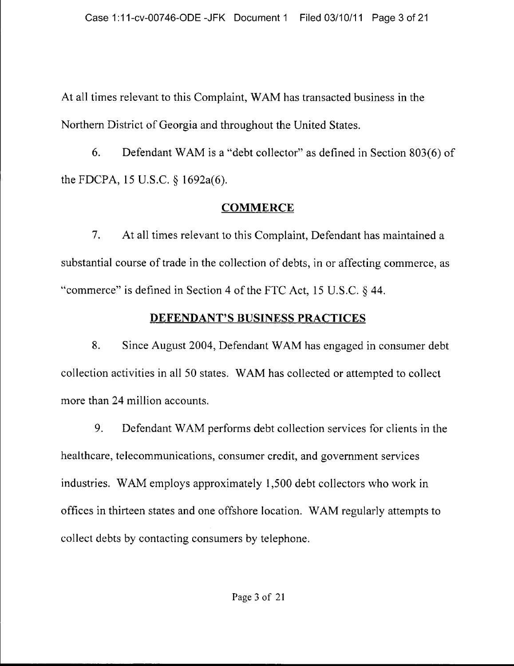At all times relevant to this Complaint, W AM has transacted business in the Northern District of Georgia and throughout the United States.

6. Defendant W AM is a "debt collector" as defined in Section 803(6) of the FDCPA, 15 U.S.C. § 1692a(6).

## **COMMERCE**

7. At all times relevant to this Complaint, Defendant has maintained a substantial course of trade in the collection of debts, in or affecting commerce, as "commerce" is defined in Section 4 of the FTC Act, 15 U.S.C. § 44.

## **DEFENDANT'S BUSINESS PRACTICES**

8. Since August 2004, Defendant W AM has engaged in consumer debt collection activities in all 50 states. WAM has collected or attempted to collect more than 24 million accounts.

9. Defendant WAM performs debt collection services for clients in the healthcare, telecommunications, consumer credit, and government services industries. WAM employs approximately 1,500 debt collectors who work in offices in thirteen states and one offshore location. WAM regularly attempts to collect debts by contacting consumers by telephone.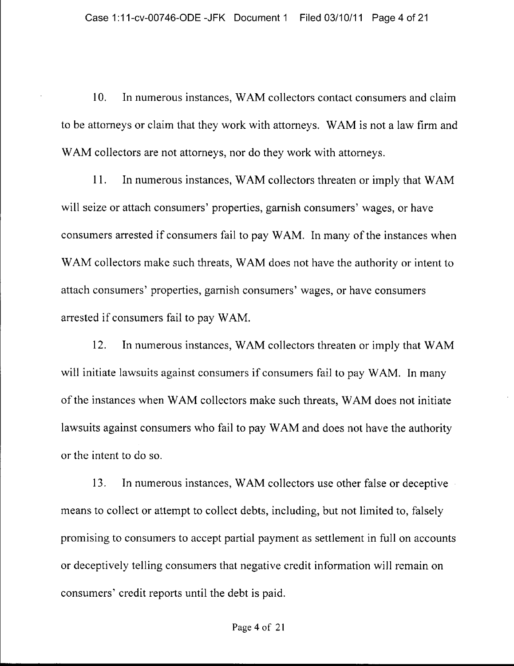10. In numerous instances, W AM collectors contact consumers and claim to be attorneys or claim that they work with attorneys. W AM is not a law firm and WAM collectors are not attorneys, nor do they work with attorneys.

11. In numerous instances, WAM collectors threaten or imply that WAM will seize or attach consumers' properties, garnish consumers' wages, or have consumers arrested if consumers fail to pay WAM. In many of the instances when WAM collectors make such threats, WAM does not have the authority or intent to attach consumers' properties, garnish consumers' wages, or have consumers arrested if consumers fail to pay WAM.

12. In numerous instances, WAM collectors threaten or imply that WAM will initiate lawsuits against consumers if consumers fail to pay WAM. In many of the instances when WAM collectors make such threats, WAM does not initiate lawsuits against consumers who fail to pay W AM and does not have the authority or the intent to do so.

13. In numerous instances, W AM collectors use other false or deceptive means to collect or attempt to collect debts, including, but not limited to, falsely promising to consumers to accept partial payment as settlement in full on accounts or deceptively telling consumers that negative credit information will remain on consumers' credit reports until the debt is paid.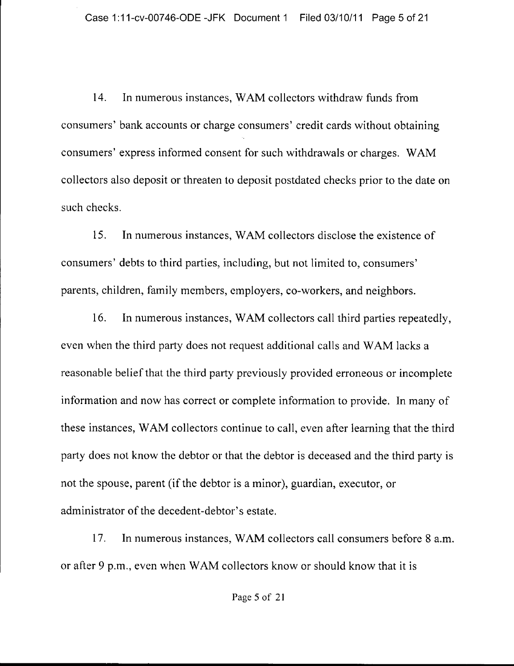14. In numerous instances, W AM collectors withdraw funds from consumers' bank accounts or charge consumers' credit cards without obtaining consumers' express informed consent for such withdrawals or charges. WAM collectors also deposit or threaten to deposit postdated checks prior to the date on such checks.

15. In numerous instances, W AM collectors disclose the existence of consumers' debts to third parties, including, but not limited to, consumers' parents, children, family members, employers, co-workers, and neighbors.

16. In numerous instances, WAM collectors call third parties repeatedly, even when the third party does not request additional calls and W AM lacks a reasonable belief that the third party previously provided erroneous or incomplete information and now has correct or complete information to provide. In many of these instances, W AM collectors continue to call, even after learning that the third party does not know the debtor or that the debtor is deceased and the third party is not the spouse, parent (if the debtor is a minor), guardian, executor, or administrator of the decedent-debtor's estate.

17. In numerous instances, W AM collectors call consumers before 8 a.m. or after 9 p.m., even when W AM collectors know or should know that it is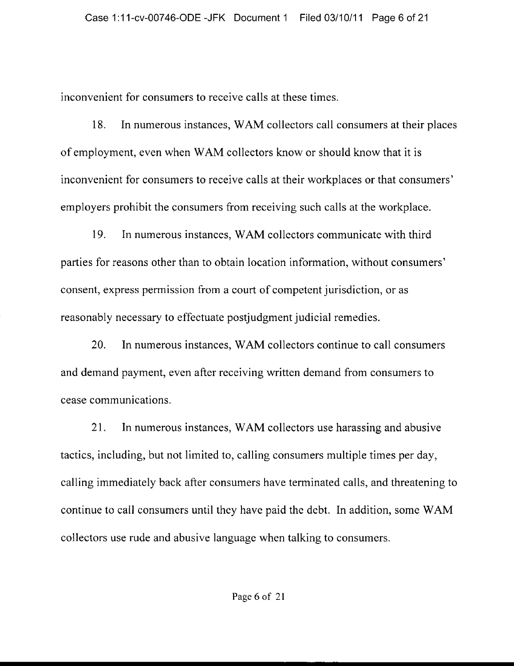inconvenient for consumers to receive calls at these times.

18. In numerous instances, W AM collectors call consumers at their places of employment, even when WAM collectors know or should know that it is inconvenient for consumers to receive calls at their workplaces or that consumers' employers prohibit the consumers from receiving such calls at the workplace.

19. In numerous instances, W AM collectors communicate with third parties for reasons other than to obtain location information, without consumers' consent, express permission from a court of competent jurisdiction, or as reasonably necessary to effectuate postjudgment judicial remedies.

20. In numerous instances, W AM collectors continue to call consumers and demand payment, even after receiving written demand from consumers to cease communications.

21. In numerous instances, WAM collectors use harassing and abusive tactics, including, but not limited to, calling consumers mUltiple times per day, calling immediately back after consumers have terminated calls, and threatening to continue to call consumers until they have paid the debt. In addition, some WAM collectors use rude and abusive language when talking to consumers.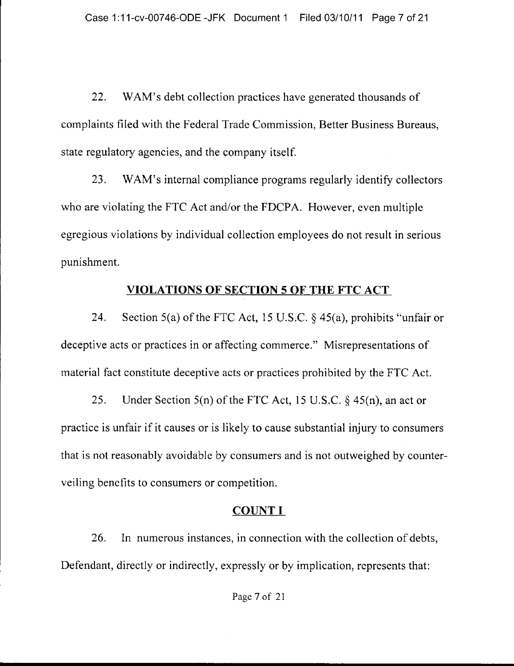22. WAM's debt collection practices have generated thousands of complaints filed with the Federal Trade Commission, Better Business Bureaus, state regulatory agencies, and the company itself.

23. WAM's internal compliance programs regularly identify collectors who are violating the FTC Act and/or the FDCPA. However, even multiple egregious violations by individual collection employees do not result in serious punishment.

#### **VIOLATIONS OF SECTION 5 OF THE FTC ACT**

24. Section 5(a) of the FTC Act, 15 U.S.C.  $\S$  45(a), prohibits "unfair or deceptive acts or practices in or affecting commerce." Misrepresentations of material fact constitute deceptive acts or practices prohibited by the FTC Act.

25. Under Section 5(n) of the FTC Act, 15 U.S.C. § 45(n), an act or practice is unfair if it causes or is likely to cause substantial injury to consumers that is not reasonably avoidable by consumers and is not outweighed by counterveiling benefits to consumers or competition.

#### COUNT I

26. In numerous instances, in connection with the collection of debts, Defendant, directly or indirectly, expressly or by implication, represents that: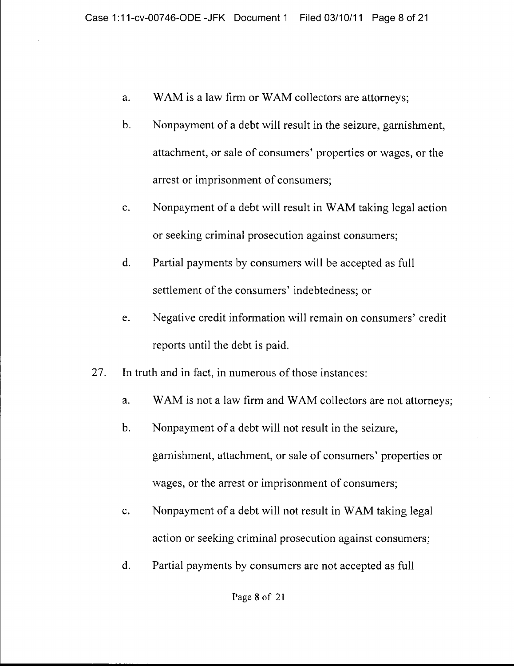- a. WAM is a law firm or WAM collectors are attorneys;
- b. Nonpayment of a debt will result in the seizure, garnishment, attachment, or sale of consumers' properties or wages, or the arrest or imprisonment of consumers;
- c. Nonpayment of a debt will result in W AM taking legal action or seeking criminal prosecution against consumers;
- d. Partial payments by consumers will be accepted as full settlement of the consumers' indebtedness; or
- e. Negative credit information will remain on consumers' credit reports until the debt is paid.
- 27. In truth and in fact, in numerous of those instances:
	- a. WAM is not a law firm and WAM collectors are not attorneys;
	- b. Nonpayment of a debt will not result in the seizure, garnishment, attachment, or sale of consumers' properties or wages, or the arrest or imprisonment of consumers;
	- c. Nonpayment of a debt will not result in WAM taking legal action or seeking criminal prosecution against consumers;
	- d. Partial payments by consumers are not accepted as full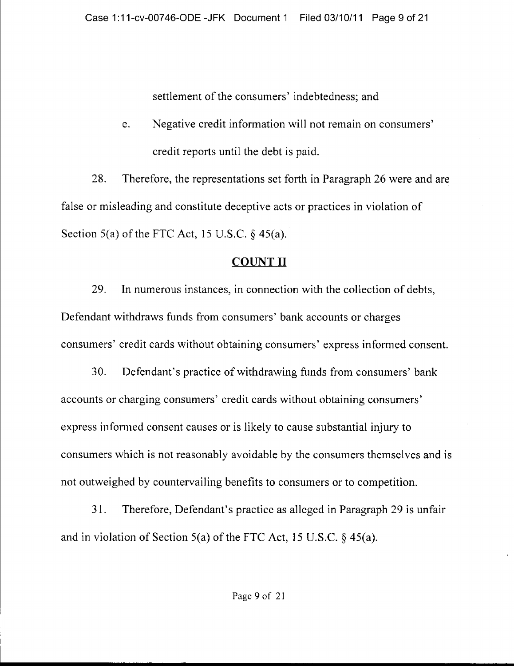settlement of the consumers' indebtedness; and

e. Negative credit information will not remain on consumers' credit reports until the debt is paid.

28. Therefore, the representations set forth in Paragraph 26 were and are false or misleading and constitute deceptive acts or practices in violation of Section  $5(a)$  of the FTC Act, 15 U.S.C.  $\S$  45(a).

## **COUNT II**

29. In numerous instances, in connection with the collection of debts, Defendant withdraws funds from consumers' bank accounts or charges consumers' credit cards without obtaining consumers' express informed consent.

30. Defendant's practice of withdrawing funds from consumers' bank accounts or charging consumers' credit cards without obtaining consumers' express informed consent causes or is likely to cause substantial injury to consumers which is not reasonably avoidable by the consumers themselves and is not outweighed by countervailing benefits to consumers or to competition.

31. Therefore, Defendant's practice as alleged in Paragraph 29 is unfair and in violation of Section 5(a) of the FTC Act, 15 U.S.C.  $\S$  45(a).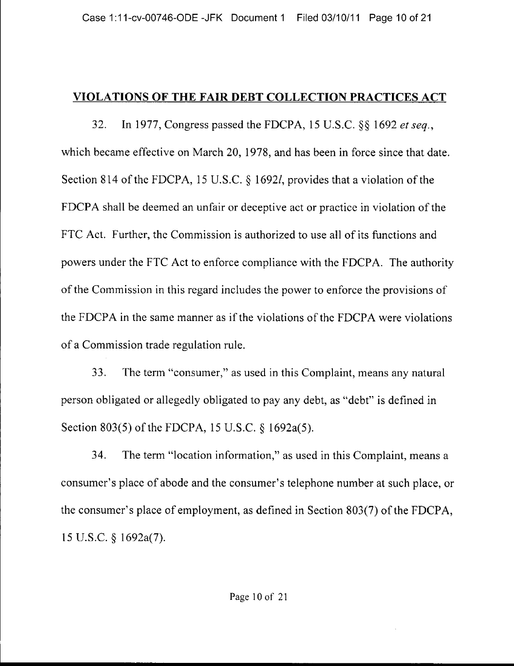## **VIOLATIONS OF THE FAIR DEBT COLLECTION PRACTICES** ACT

32. In 1977, Congress passed the FDCPA, 15 U.S.C. §§ 1692 *et seq.,*  which became effective on March 20, 1978, and has been in force since that date. Section 814 of the FDCPA, 15 U.S.C. § 1692/, provides that a violation of the FDCPA shall be deemed an unfair or deceptive act or practice in violation of the FTC Act. Further, the Commission is authorized to use all of its functions and powers under the FTC Act to enforce compliance with the FDCPA. The authority of the Commission in this regard includes the power to enforce the provisions of the FDCPA in the same manner as if the violations of the FDCPA were violations of a Commission trade regulation rule.

33. The term "consumer," as used in this Complaint, means any natural person obligated or allegedly obligated to pay any debt, as "debt" is defined in Section 803(5) of the FDCPA, 15 U.S.C. § 1692a(5).

34. The term "location information," as used in this Complaint, means a consumer's place of abode and the consumer's telephone number at such place, or the consumer's place of employment, as defined in Section 803(7) of the FDCPA, 15 U.S.C. § 1692a(7).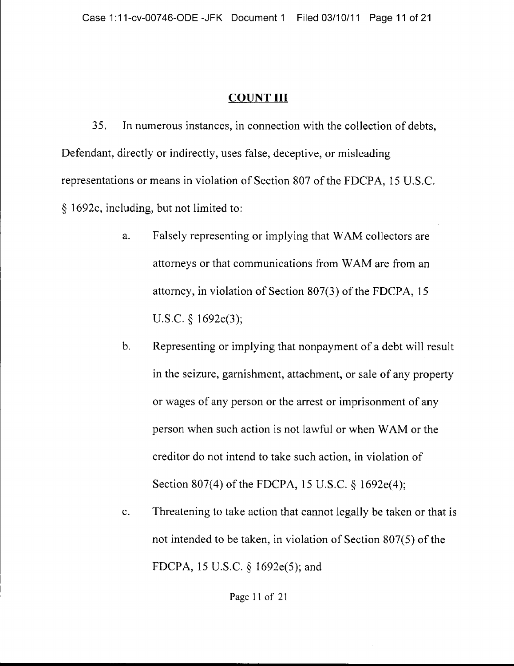#### COUNT III

35, In numerous instances, in connection with the collection of debts, Defendant, directly or indirectly, uses false, deceptive, or misleading representations or means in violation of Section 807 of the FDCPA, 15 U.S.C. § 1692e, including, but not limited to:

- a. Falsely representing or implying that WAM collectors are attorneys or that communications from WAM are from an attorney, in violation of Section 807(3) of the FDCPA, 15 U.S.C. § 1692e(3);
- b. Representing or implying that nonpayment of a debt will result in the seizure, garnishment, attachment, or sale of any property or wages of any person or the arrest or imprisonment of any person when such action is not lawful or when W AM or the creditor do not intend to take such action, in violation of Section 807(4) of the FDCPA, 15 U.S.C. § 1692e(4);
- c. Threatening to take action that cannot legally be taken or that is not intended to be taken, in violation of Section 807(5) of the FDCPA, 15 U.S.C. § 1692e(5); and

Page 11 of 21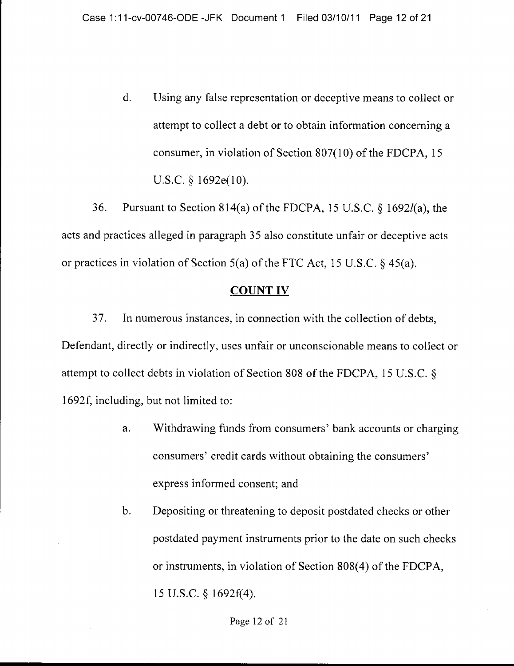d. Using any false representation or deceptive means to collect or attempt to collect a debt or to obtain information concerning a consumer, in violation of Section 807(10) of the FDCPA, 15 U.S,C. § 1692e(10).

36. Pursuant to Section 814(a) of the FDCPA, 15 U.S.C.  $\S$  1692 $l$ (a), the acts and practices alleged in paragraph 35 also constitute unfair or deceptive acts or practices in violation of Section 5(a) of the FTC Act, 15 U.S.C. § 4S(a).

#### COUNT IV

37. In numerous instances, in connection with the collection of debts, Defendant, directly or indirectly, uses unfair or unconscionable means to collect or attempt to collect debts in violation of Section 808 of the FDCPA, 15 U.S.C, § 1692f, including, but not limited to:

- a. Withdrawing funds from consumers' bank accounts or charging consumers' credit cards without obtaining the consumers' express informed consent; and
- b. Depositing or threatening to deposit postdated checks or other postdated payment instruments prior to the date on such checks or instruments, in violation of Section 808(4) of the FDCPA, 15 U.S,C. § 1692f(4).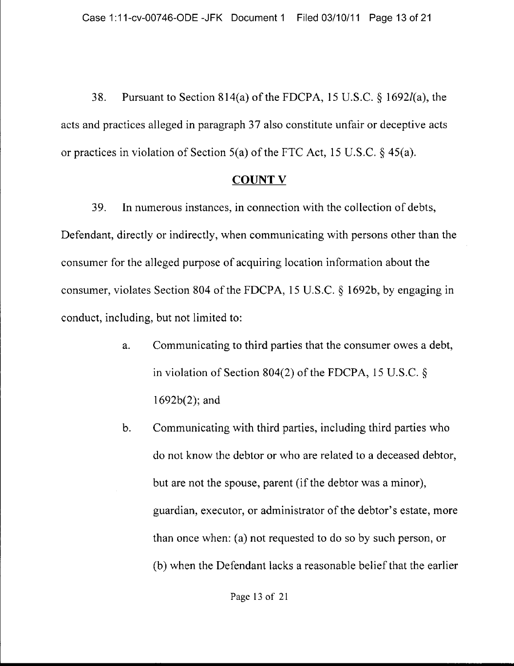38. Pursuant to Section 814(a) of the FDCPA, 15 U.S.C. § 16921(a), the acts and practices alleged in paragraph 37 also constitute unfair or deceptive acts or practices in violation of Section 5(a) of the FTC Act, 15 U.S.C. § 45(a).

#### COUNT V

39. In numerous instances, in connection with the collection of debts, Defendant, directly or indirectly, when communicating with persons other than the consumer for the alleged purpose of acquiring location information about the consumer, violates Section 804 of the FDCPA, 15 U.S.C. § 1692b, by engaging in conduct, including, but not limited to:

- a. Communicating to third parties that the consumer owes a debt, in violation of Section 804(2) of the FDCPA, 15 U.S.C. § 1692b(2); and
- b. Communicating with third parties, including third parties who do not know the debtor or who are related to a deceased debtor, but are not the spouse, parent (if the debtor was a minor), guardian, executor, or administrator of the debtor's estate, more than once when: (a) not requested to do so by such person, or (b) when the Defendant lacks a reasonable belief that the earlier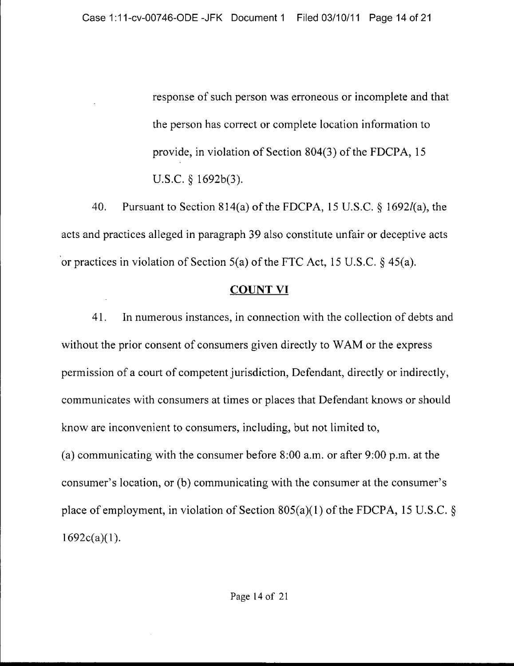response of such person was erroneous or incomplete and that the person has correct or complete location information to provide, in violation of Section 804(3) of the FDCPA, 15 U.S.C. § 1692b(3).

40. Pursuant to Section 814(a) of the FDCPA, 15 U.S.C. § 16921(a), the acts and practices alleged in paragraph 39 also constitute unfair or deceptive acts 'or practices in violation of Section 5(a) of the FTC Act, 15 U.S.C. § 45(a).

#### COUNT VI

41. In numerous instances, in connection with the collection of debts and without the prior consent of consumers given directly to WAM or the express permission of a court of competent jurisdiction, Defendant, directly or indirectly, communicates with consumers at times or places that Defendant knows or should know are inconvenient to consumers, including, but not limited to, (a) communicating with the consumer before 8:00 a.m. or after 9:00 p.m. at the consumer's location, or (b) communicating with the consumer at the consumer's place of employment, in violation of Section  $805(a)(1)$  of the FDCPA, 15 U.S.C. §  $1692c(a)(1)$ .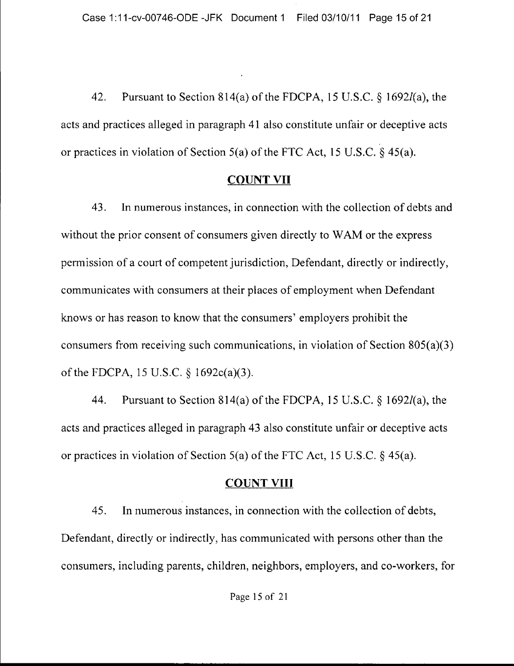42. Pursuant to Section 814(a) of the FDCPA, 15 U.S.C. § 16921(a), the acts and practices alleged in paragraph 41 also constitute unfair or deceptive acts or practices in violation of Section 5(a) of the FTC Act, 15 U.S.C.  $\S$  45(a).

### COUNT VII

43. In numerous instances, in connection with the collection of debts and without the prior consent of consumers given directly to WAM or the express permission of a court of competent jurisdiction, Defendant, directly or indirectly, communicates with consumers at their places of employment when Defendant knows or has reason to know that the consumers' employers prohibit the consumers from receiving such communications, in violation of Section 805(a)(3) of the FDCPA, 15 U.S.C. § 1692c(a)(3).

44. Pursuant to Section 814(a) of the FDCPA, 15 U.S.C. § 16921(a), the acts and practices alleged in paragraph 43 also constitute unfair or deceptive acts or practices in violation of Section 5(a) of the FTC Act, 15 U.S.C. § 45(a).

# **COUNT VIII**

45. In numerous instances, in connection with the collection of debts, Defendant, directly or indirectly, has communicated with persons other than the consumers, including parents, children, neighbors, employers, and co-workers, for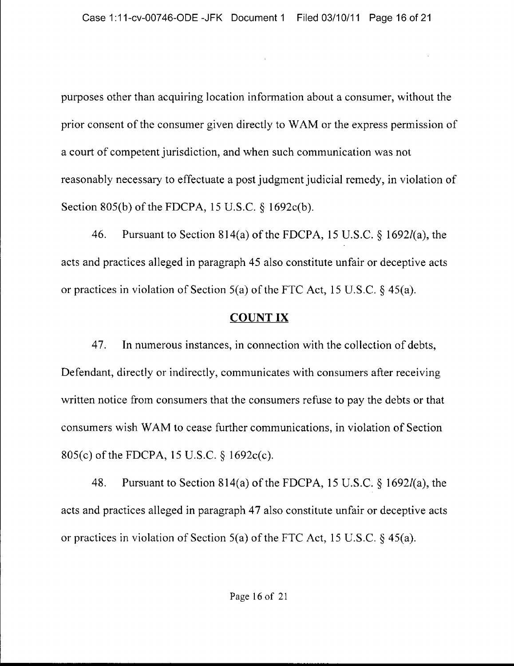purposes other than acquiring location information about a consumer, without the prior consent of the consumer given directly to WAM or the express permission of a court of competent jurisdiction, and when such communication was not reasonably necessary to effectuate a post judgment judicial remedy, in violation of Section 805(b) of the FDCPA, 15 U.S.C. § 1692c(b).

46. Pursuant to Section 814(a) of the FDCPA, 15 U.S.C. § 16921(a), the acts and practices alleged in paragraph 45 also constitute unfair or deceptive acts or practices in violation of Section 5(a) of the FTC Act, 15 U.S.C. § 45(a).

### COUNT IX

47. In numerous instances, in connection with the collection of debts, Defendant, directly or indirectly, communicates with consumers after receiving written notice from consumers that the consumers refuse to pay the debts or that consumers wish W AM to cease further communications, in violation of Section 805(c) of the FDCPA, 15 U.S.C. § 1692c(c).

48. Pursuant to Section 814(a) of the FDCPA, 15 U.S.C.  $\S$  1692*l*(a), the acts and practices alleged in paragraph 47 also constitute unfair or deceptive acts or practices in violation of Section 5(a) of the FTC Act, 15 U.S.C. § 45(a).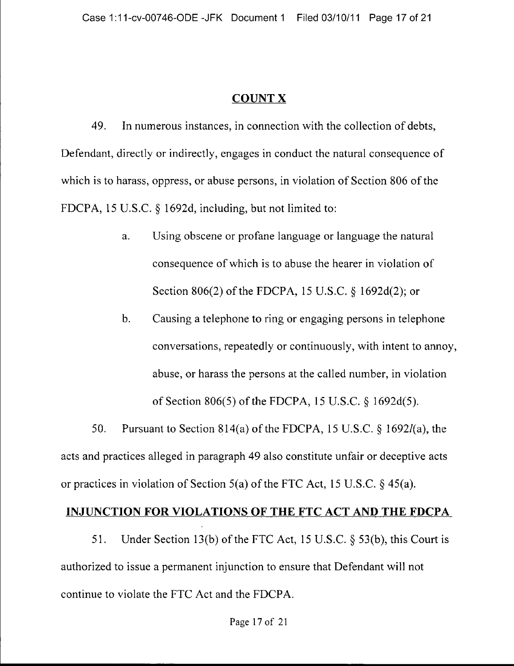### COUNT X

49. In numerous instances, in connection with the collection of debts, Defendant, directly or indirectly, engages in conduct the natural consequence of which is to harass, oppress, or abuse persons, in violation of Section 806 of the FDCPA, 15 U.S.C. § 1692d, including, but not limited to:

- a. Using obscene or profane language or language the natural consequence of which is to abuse the hearer in violation of Section 806(2) of the FDCPA, 15 U.S.C. § 1692d(2); or
- b. Causing a telephone to ring or engaging persons in telephone conversations, repeatedly or continuously, with intent to annoy, abuse, or harass the persons at the called number, in violation of Section 806(5) of the FDCPA, 15 U,S,C, § 1692d(5),

50. Pursuant to Section 814(a) of the FDCPA, 15 U.S.C. § 1692/(a), the acts and practices alleged in paragraph 49 also constitute unfair or deceptive acts or practices in violation of Section 5(a) of the FTC Act, 15 U.S,C, § 45(a),

#### **INJUNCTION FOR VIOLATIONS OF THE FTC ACT AND THE FDCPA**

51. Under Section 13(b) of the FTC Act, 15 U.S.C.  $\S$  53(b), this Court is authorized to issue a permanent injunction to ensure that Defendant will not continue to violate the FTC Act and the FDCPA.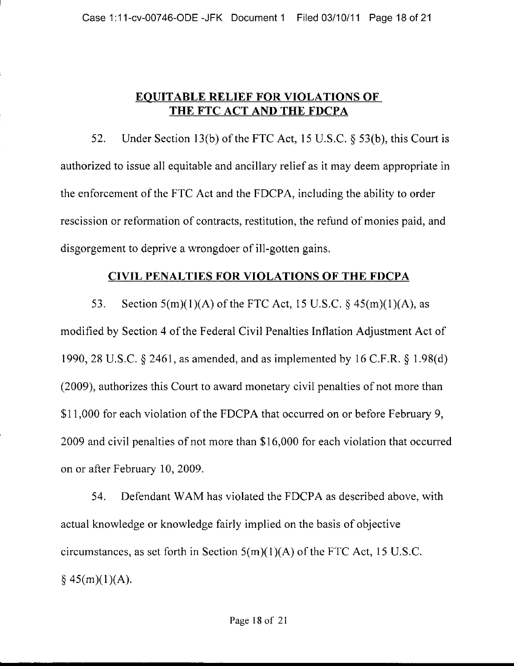### **EQUITABLE RELIEF FOR VIOLATIONS OF THE FTC ACT AND THE FDCPA**

52. Under Section 13(b) of the FTC Act, 15 U.S.C. § 53(b), this Court is authorized to issue all equitable and ancillary relief as it may deem appropriate in the enforcement of the FTC Act and the FDCP A, including the ability to order rescission or reformation of contracts, restitution, the refund of monies paid, and disgorgement to deprive a wrongdoer of ill-gotten gains.

#### **CIVIL PENALTIES FOR VIOLATIONS OF THE FDCPA**

53. Section  $5(m)(1)(A)$  of the FTC Act, 15 U.S.C. § 45 $(m)(1)(A)$ , as modified by Section 4 of the Federal Civil Penalties Inflation Adjustment Act of 1990,28 U.S.C. § 2461, as amended, and as implemented by 16 C.F.R. § 1.98(d) (2009), authorizes this Court to award monetary civil penalties of not more than \$11,000 for each violation of the FDCPA that occurred on or before February 9, 2009 and civil penalties of not more than \$16,000 for each violation that occurred on or after February 10, 2009.

54. Defendant WAM has violated the FDCPA as described above, with actual knowledge or knowledge fairly implied on the basis of objective circumstances, as set forth in Section  $5(m)(1)(A)$  of the FTC Act, 15 U.S.C.  $§ 45(m)(1)(A).$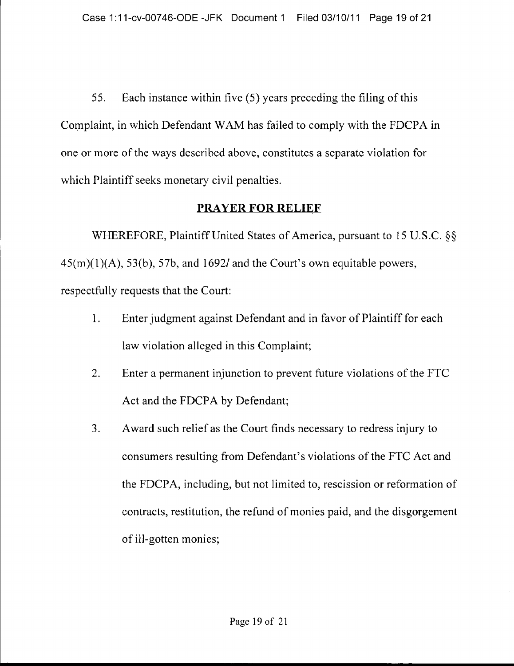55. Each instance within five (5) years preceding the filing of this Complaint, in which Defendant WAM has failed to comply with the FDCPA in one or more of the ways described above, constitutes a separate violation for which Plaintiff seeks monetary civil penalties.

### **PRAYER FOR RELIEF**

WHEREFORE, Plaintiff United States of America, pursuant to 15 U.S.C. §§  $45(m)(1)(A)$ ,  $53(b)$ ,  $57b$ , and  $1692l$  and the Court's own equitable powers, respectfully requests that the Court:

- 1. Enter judgment against Defendant and in favor of Plaintiff for each law violation alleged in this Complaint;
- 2. Enter a permanent injunction to prevent future violations of the FTC Act and the FDCPA by Defendant;
- 3. Award such relief as the Court finds necessary to redress injury to consumers resulting from Defendant's violations of the FTC Act and the FDCPA, including, but not limited to, rescission or reformation of contracts, restitution, the refund of monies paid, and the disgorgement of ill-gotten monies;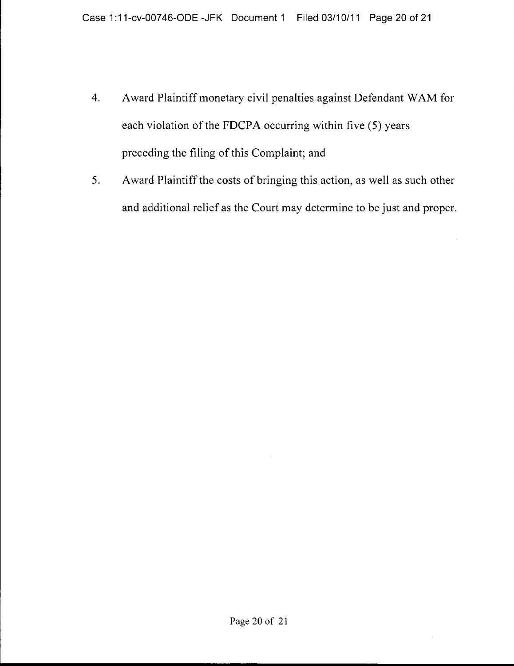- 4. Award Plaintiff monetary civil penalties against Defendant WAM for each violation of the FDCPA occurring within five (5) years preceding the filing of this Complaint; and
- 5. Award Plaintiff the costs of bringing this action, as well as such other and additional relief as the Court may determine to be just and proper.